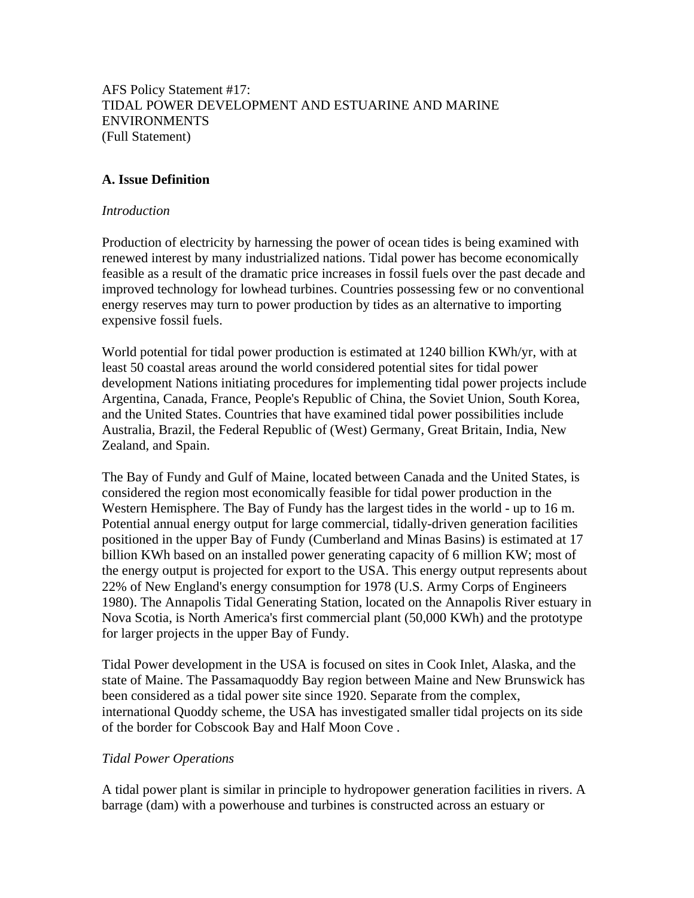AFS Policy Statement #17: TIDAL POWER DEVELOPMENT AND ESTUARINE AND MARINE ENVIRONMENTS (Full Statement)

## **A. Issue Definition**

#### *Introduction*

Production of electricity by harnessing the power of ocean tides is being examined with renewed interest by many industrialized nations. Tidal power has become economically feasible as a result of the dramatic price increases in fossil fuels over the past decade and improved technology for lowhead turbines. Countries possessing few or no conventional energy reserves may turn to power production by tides as an alternative to importing expensive fossil fuels.

World potential for tidal power production is estimated at 1240 billion KWh/yr, with at least 50 coastal areas around the world considered potential sites for tidal power development Nations initiating procedures for implementing tidal power projects include Argentina, Canada, France, People's Republic of China, the Soviet Union, South Korea, and the United States. Countries that have examined tidal power possibilities include Australia, Brazil, the Federal Republic of (West) Germany, Great Britain, India, New Zealand, and Spain.

The Bay of Fundy and Gulf of Maine, located between Canada and the United States, is considered the region most economically feasible for tidal power production in the Western Hemisphere. The Bay of Fundy has the largest tides in the world - up to 16 m. Potential annual energy output for large commercial, tidally-driven generation facilities positioned in the upper Bay of Fundy (Cumberland and Minas Basins) is estimated at 17 billion KWh based on an installed power generating capacity of 6 million KW; most of the energy output is projected for export to the USA. This energy output represents about 22% of New England's energy consumption for 1978 (U.S. Army Corps of Engineers 1980). The Annapolis Tidal Generating Station, located on the Annapolis River estuary in Nova Scotia, is North America's first commercial plant (50,000 KWh) and the prototype for larger projects in the upper Bay of Fundy.

Tidal Power development in the USA is focused on sites in Cook Inlet, Alaska, and the state of Maine. The Passamaquoddy Bay region between Maine and New Brunswick has been considered as a tidal power site since 1920. Separate from the complex, international Quoddy scheme, the USA has investigated smaller tidal projects on its side of the border for Cobscook Bay and Half Moon Cove .

## *Tidal Power Operations*

A tidal power plant is similar in principle to hydropower generation facilities in rivers. A barrage (dam) with a powerhouse and turbines is constructed across an estuary or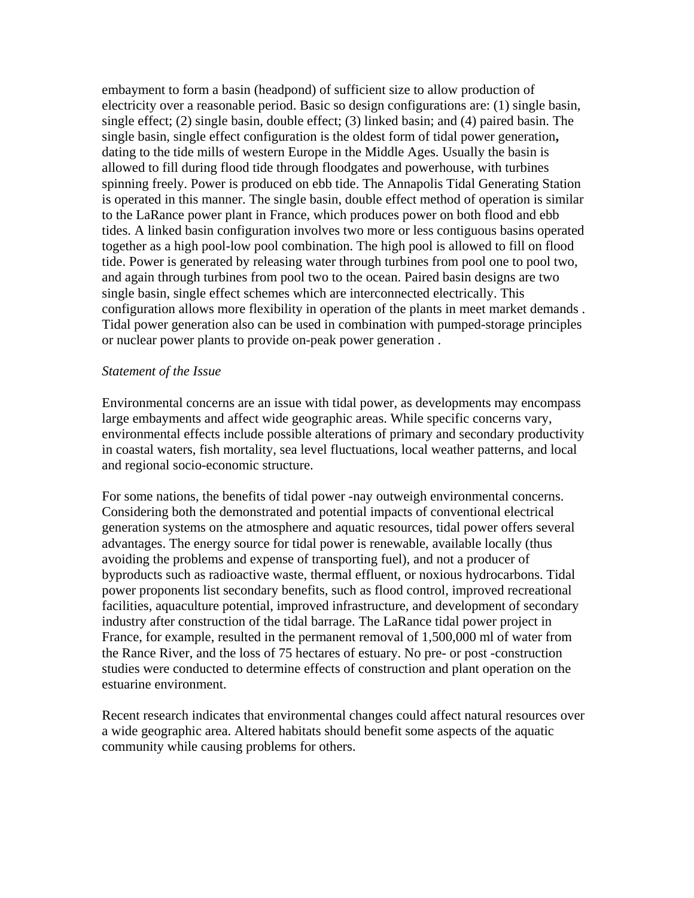embayment to form a basin (headpond) of sufficient size to allow production of electricity over a reasonable period. Basic so design configurations are: (1) single basin, single effect; (2) single basin, double effect; (3) linked basin; and (4) paired basin. The single basin, single effect configuration is the oldest form of tidal power generation**,**  dating to the tide mills of western Europe in the Middle Ages. Usually the basin is allowed to fill during flood tide through floodgates and powerhouse, with turbines spinning freely. Power is produced on ebb tide. The Annapolis Tidal Generating Station is operated in this manner. The single basin, double effect method of operation is similar to the LaRance power plant in France, which produces power on both flood and ebb tides. A linked basin configuration involves two more or less contiguous basins operated together as a high pool-low pool combination. The high pool is allowed to fill on flood tide. Power is generated by releasing water through turbines from pool one to pool two, and again through turbines from pool two to the ocean. Paired basin designs are two single basin, single effect schemes which are interconnected electrically. This configuration allows more flexibility in operation of the plants in meet market demands . Tidal power generation also can be used in combination with pumped-storage principles or nuclear power plants to provide on-peak power generation .

#### *Statement of the Issue*

Environmental concerns are an issue with tidal power, as developments may encompass large embayments and affect wide geographic areas. While specific concerns vary, environmental effects include possible alterations of primary and secondary productivity in coastal waters, fish mortality, sea level fluctuations, local weather patterns, and local and regional socio-economic structure.

For some nations, the benefits of tidal power -nay outweigh environmental concerns. Considering both the demonstrated and potential impacts of conventional electrical generation systems on the atmosphere and aquatic resources, tidal power offers several advantages. The energy source for tidal power is renewable, available locally (thus avoiding the problems and expense of transporting fuel), and not a producer of byproducts such as radioactive waste, thermal effluent, or noxious hydrocarbons. Tidal power proponents list secondary benefits, such as flood control, improved recreational facilities, aquaculture potential, improved infrastructure, and development of secondary industry after construction of the tidal barrage. The LaRance tidal power project in France, for example, resulted in the permanent removal of 1,500,000 ml of water from the Rance River, and the loss of 75 hectares of estuary. No pre- or post -construction studies were conducted to determine effects of construction and plant operation on the estuarine environment.

Recent research indicates that environmental changes could affect natural resources over a wide geographic area. Altered habitats should benefit some aspects of the aquatic community while causing problems for others.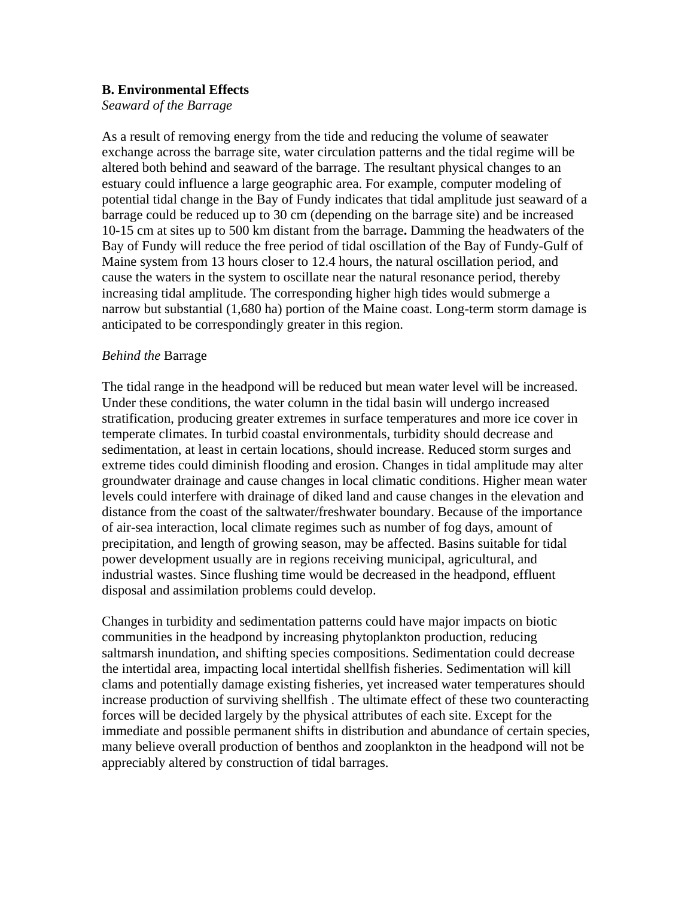## **B. Environmental Effects**

*Seaward of the Barrage* 

As a result of removing energy from the tide and reducing the volume of seawater exchange across the barrage site, water circulation patterns and the tidal regime will be altered both behind and seaward of the barrage. The resultant physical changes to an estuary could influence a large geographic area. For example, computer modeling of potential tidal change in the Bay of Fundy indicates that tidal amplitude just seaward of a barrage could be reduced up to 30 cm (depending on the barrage site) and be increased 10-15 cm at sites up to 500 km distant from the barrage**.** Damming the headwaters of the Bay of Fundy will reduce the free period of tidal oscillation of the Bay of Fundy-Gulf of Maine system from 13 hours closer to 12.4 hours, the natural oscillation period, and cause the waters in the system to oscillate near the natural resonance period, thereby increasing tidal amplitude. The corresponding higher high tides would submerge a narrow but substantial (1,680 ha) portion of the Maine coast. Long-term storm damage is anticipated to be correspondingly greater in this region.

# *Behind the* Barrage

The tidal range in the headpond will be reduced but mean water level will be increased. Under these conditions, the water column in the tidal basin will undergo increased stratification, producing greater extremes in surface temperatures and more ice cover in temperate climates. In turbid coastal environmentals, turbidity should decrease and sedimentation, at least in certain locations, should increase. Reduced storm surges and extreme tides could diminish flooding and erosion. Changes in tidal amplitude may alter groundwater drainage and cause changes in local climatic conditions. Higher mean water levels could interfere with drainage of diked land and cause changes in the elevation and distance from the coast of the saltwater/freshwater boundary. Because of the importance of air-sea interaction, local climate regimes such as number of fog days, amount of precipitation, and length of growing season, may be affected. Basins suitable for tidal power development usually are in regions receiving municipal, agricultural, and industrial wastes. Since flushing time would be decreased in the headpond, effluent disposal and assimilation problems could develop.

Changes in turbidity and sedimentation patterns could have major impacts on biotic communities in the headpond by increasing phytoplankton production, reducing saltmarsh inundation, and shifting species compositions. Sedimentation could decrease the intertidal area, impacting local intertidal shellfish fisheries. Sedimentation will kill clams and potentially damage existing fisheries, yet increased water temperatures should increase production of surviving shellfish . The ultimate effect of these two counteracting forces will be decided largely by the physical attributes of each site. Except for the immediate and possible permanent shifts in distribution and abundance of certain species, many believe overall production of benthos and zooplankton in the headpond will not be appreciably altered by construction of tidal barrages.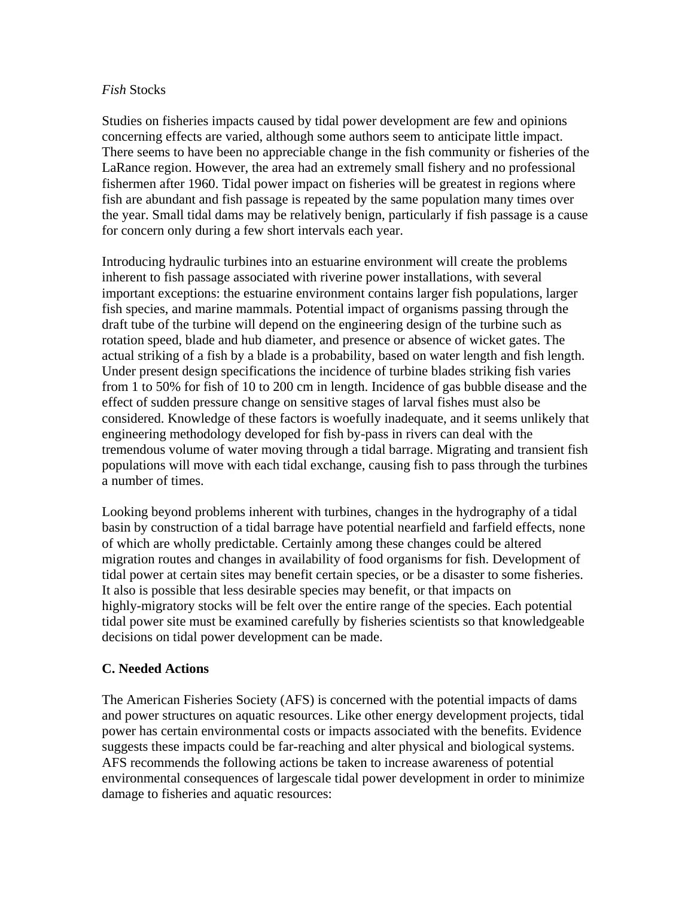#### *Fish* Stocks

Studies on fisheries impacts caused by tidal power development are few and opinions concerning effects are varied, although some authors seem to anticipate little impact. There seems to have been no appreciable change in the fish community or fisheries of the LaRance region. However, the area had an extremely small fishery and no professional fishermen after 1960. Tidal power impact on fisheries will be greatest in regions where fish are abundant and fish passage is repeated by the same population many times over the year. Small tidal dams may be relatively benign, particularly if fish passage is a cause for concern only during a few short intervals each year.

Introducing hydraulic turbines into an estuarine environment will create the problems inherent to fish passage associated with riverine power installations, with several important exceptions: the estuarine environment contains larger fish populations, larger fish species, and marine mammals. Potential impact of organisms passing through the draft tube of the turbine will depend on the engineering design of the turbine such as rotation speed, blade and hub diameter, and presence or absence of wicket gates. The actual striking of a fish by a blade is a probability, based on water length and fish length. Under present design specifications the incidence of turbine blades striking fish varies from 1 to 50% for fish of 10 to 200 cm in length. Incidence of gas bubble disease and the effect of sudden pressure change on sensitive stages of larval fishes must also be considered. Knowledge of these factors is woefully inadequate, and it seems unlikely that engineering methodology developed for fish by-pass in rivers can deal with the tremendous volume of water moving through a tidal barrage. Migrating and transient fish populations will move with each tidal exchange, causing fish to pass through the turbines a number of times.

Looking beyond problems inherent with turbines, changes in the hydrography of a tidal basin by construction of a tidal barrage have potential nearfield and farfield effects, none of which are wholly predictable. Certainly among these changes could be altered migration routes and changes in availability of food organisms for fish. Development of tidal power at certain sites may benefit certain species, or be a disaster to some fisheries. It also is possible that less desirable species may benefit, or that impacts on highly-migratory stocks will be felt over the entire range of the species. Each potential tidal power site must be examined carefully by fisheries scientists so that knowledgeable decisions on tidal power development can be made.

## **C. Needed Actions**

The American Fisheries Society (AFS) is concerned with the potential impacts of dams and power structures on aquatic resources. Like other energy development projects, tidal power has certain environmental costs or impacts associated with the benefits. Evidence suggests these impacts could be far-reaching and alter physical and biological systems. AFS recommends the following actions be taken to increase awareness of potential environmental consequences of largescale tidal power development in order to minimize damage to fisheries and aquatic resources: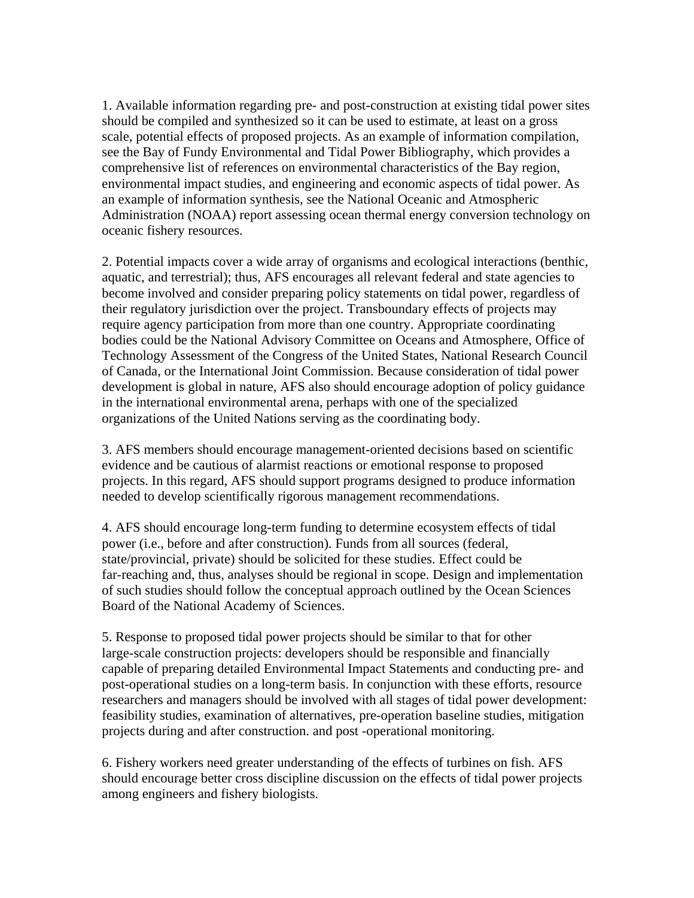1. Available information regarding pre- and post-construction at existing tidal power sites should be compiled and synthesized so it can be used to estimate, at least on a gross scale, potential effects of proposed projects. As an example of information compilation, see the Bay of Fundy Environmental and Tidal Power Bibliography, which provides a comprehensive list of references on environmental characteristics of the Bay region, environmental impact studies, and engineering and economic aspects of tidal power. As an example of information synthesis, see the National Oceanic and Atmospheric Administration (NOAA) report assessing ocean thermal energy conversion technology on oceanic fishery resources.

2. Potential impacts cover a wide array of organisms and ecological interactions (benthic, aquatic, and terrestrial); thus, AFS encourages all relevant federal and state agencies to become involved and consider preparing policy statements on tidal power, regardless of their regulatory jurisdiction over the project. Transboundary effects of projects may require agency participation from more than one country. Appropriate coordinating bodies could be the National Advisory Committee on Oceans and Atmosphere, Office of Technology Assessment of the Congress of the United States, National Research Council of Canada, or the International Joint Commission. Because consideration of tidal power development is global in nature, AFS also should encourage adoption of policy guidance in the international environmental arena, perhaps with one of the specialized organizations of the United Nations serving as the coordinating body.

3. AFS members should encourage management-oriented decisions based on scientific evidence and be cautious of alarmist reactions or emotional response to proposed projects. In this regard, AFS should support programs designed to produce information needed to develop scientifically rigorous management recommendations.

4. AFS should encourage long-term funding to determine ecosystem effects of tidal power (i.e., before and after construction). Funds from all sources (federal, state/provincial, private) should be solicited for these studies. Effect could be far-reaching and, thus, analyses should be regional in scope. Design and implementation of such studies should follow the conceptual approach outlined by the Ocean Sciences Board of the National Academy of Sciences.

5. Response to proposed tidal power projects should be similar to that for other large-scale construction projects: developers should be responsible and financially capable of preparing detailed Environmental Impact Statements and conducting pre- and post-operational studies on a long-term basis. In conjunction with these efforts, resource researchers and managers should be involved with all stages of tidal power development: feasibility studies, examination of alternatives, pre-operation baseline studies, mitigation projects during and after construction. and post -operational monitoring.

6. Fishery workers need greater understanding of the effects of turbines on fish. AFS should encourage better cross discipline discussion on the effects of tidal power projects among engineers and fishery biologists.